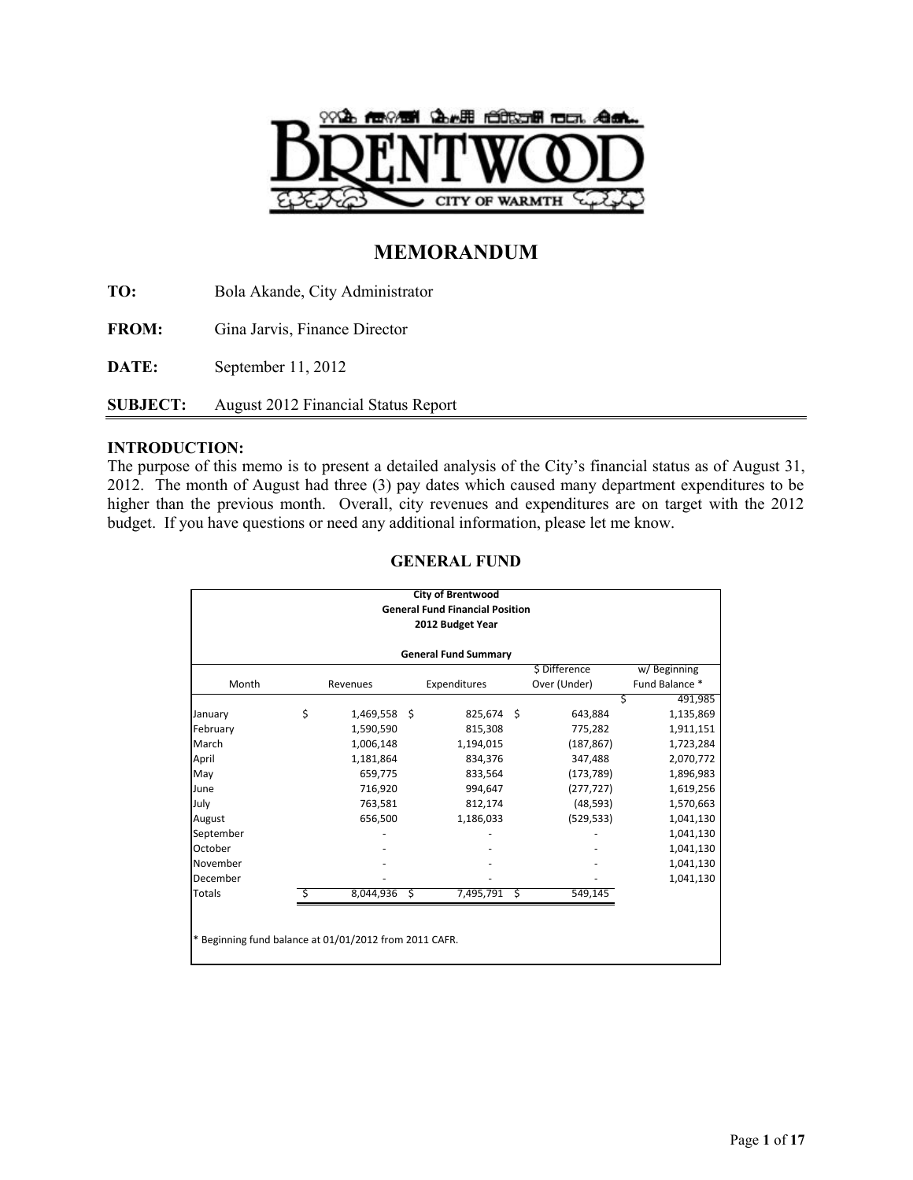

# **MEMORANDUM**

**TO:** Bola Akande, City Administrator **FROM:** Gina Jarvis, Finance Director **DATE:** September 11, 2012 **SUBJECT:** August 2012 Financial Status Report

## **INTRODUCTION:**

The purpose of this memo is to present a detailed analysis of the City's financial status as of August 31, 2012. The month of August had three (3) pay dates which caused many department expenditures to be higher than the previous month. Overall, city revenues and expenditures are on target with the 2012 budget. If you have questions or need any additional information, please let me know.

|                                                        |    |              |    | <b>City of Brentwood</b>               |    |               |                |  |  |  |  |
|--------------------------------------------------------|----|--------------|----|----------------------------------------|----|---------------|----------------|--|--|--|--|
|                                                        |    |              |    | <b>General Fund Financial Position</b> |    |               |                |  |  |  |  |
|                                                        |    |              |    | 2012 Budget Year                       |    |               |                |  |  |  |  |
|                                                        |    |              |    |                                        |    |               |                |  |  |  |  |
| <b>General Fund Summary</b>                            |    |              |    |                                        |    |               |                |  |  |  |  |
|                                                        |    |              |    |                                        |    | \$ Difference | w/Beginning    |  |  |  |  |
| Month                                                  |    | Revenues     |    | Expenditures                           |    | Over (Under)  | Fund Balance * |  |  |  |  |
|                                                        |    |              |    |                                        |    | \$            | 491,985        |  |  |  |  |
| January                                                | \$ | 1,469,558 \$ |    | 825,674 \$                             |    | 643,884       | 1,135,869      |  |  |  |  |
| February                                               |    | 1,590,590    |    | 815,308                                |    | 775,282       | 1,911,151      |  |  |  |  |
| March                                                  |    | 1,006,148    |    | 1,194,015                              |    | (187, 867)    | 1,723,284      |  |  |  |  |
| April                                                  |    | 1,181,864    |    | 834,376                                |    | 347,488       | 2,070,772      |  |  |  |  |
| May                                                    |    | 659,775      |    | 833,564                                |    | (173, 789)    | 1,896,983      |  |  |  |  |
| June                                                   |    | 716,920      |    | 994,647                                |    | (277, 727)    | 1,619,256      |  |  |  |  |
| July                                                   |    | 763,581      |    | 812,174                                |    | (48, 593)     | 1,570,663      |  |  |  |  |
| August                                                 |    | 656,500      |    | 1,186,033                              |    | (529, 533)    | 1,041,130      |  |  |  |  |
| September                                              |    |              |    |                                        |    |               | 1,041,130      |  |  |  |  |
| October                                                |    |              |    |                                        |    |               | 1,041,130      |  |  |  |  |
| November                                               |    |              |    |                                        |    |               | 1,041,130      |  |  |  |  |
| December                                               |    |              |    |                                        |    |               | 1,041,130      |  |  |  |  |
| <b>Totals</b>                                          |    | 8,044,936    | Ŝ. | 7,495,791                              | \$ | 549,145       |                |  |  |  |  |
|                                                        |    |              |    |                                        |    |               |                |  |  |  |  |
|                                                        |    |              |    |                                        |    |               |                |  |  |  |  |
| * Beginning fund balance at 01/01/2012 from 2011 CAFR. |    |              |    |                                        |    |               |                |  |  |  |  |
|                                                        |    |              |    |                                        |    |               |                |  |  |  |  |

## **GENERAL FUND**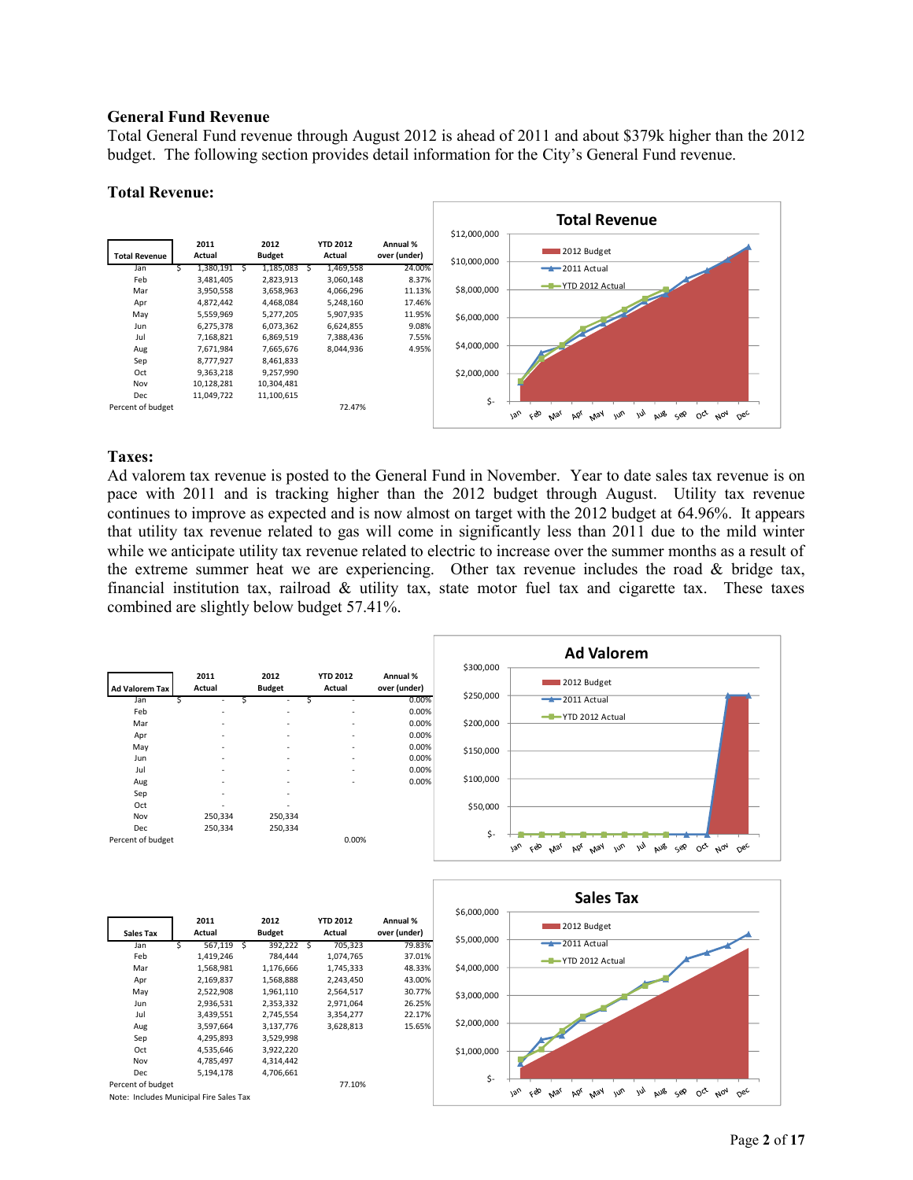#### **General Fund Revenue**

Total General Fund revenue through August 2012 is ahead of 2011 and about \$379k higher than the 2012 budget. The following section provides detail information for the City's General Fund revenue.

#### **Total Revenue:**



#### **Taxes:**

Ad valorem tax revenue is posted to the General Fund in November. Year to date sales tax revenue is on pace with 2011 and is tracking higher than the 2012 budget through August. Utility tax revenue continues to improve as expected and is now almost on target with the 2012 budget at 64.96%. It appears that utility tax revenue related to gas will come in significantly less than 2011 due to the mild winter while we anticipate utility tax revenue related to electric to increase over the summer months as a result of the extreme summer heat we are experiencing. Other tax revenue includes the road  $\&$  bridge tax, financial institution tax, railroad & utility tax, state motor fuel tax and cigarette tax. These taxes combined are slightly below budget 57.41%.

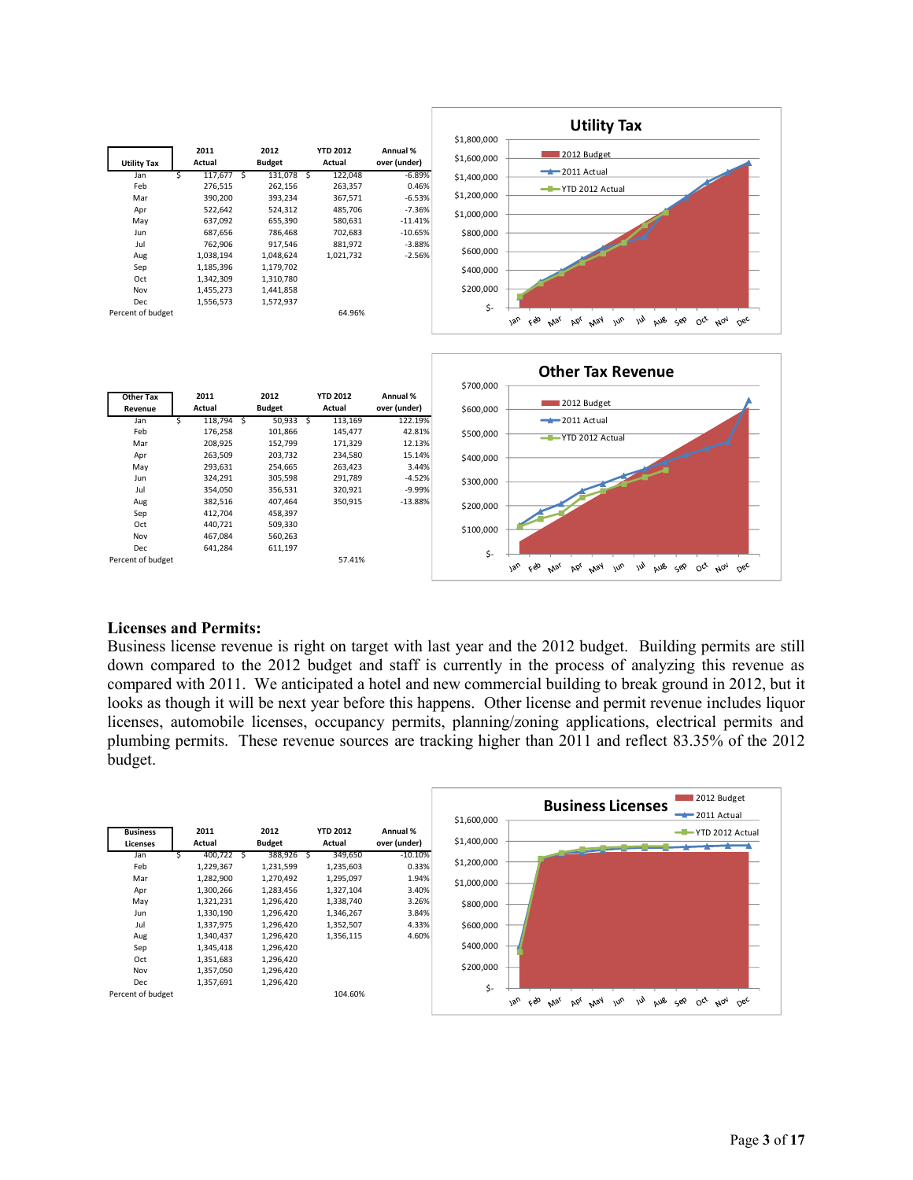



#### **Licenses and Permits:**

Business license revenue is right on target with last year and the 2012 budget. Building permits are still down compared to the 2012 budget and staff is currently in the process of analyzing this revenue as compared with 2011. We anticipated a hotel and new commercial building to break ground in 2012, but it looks as though it will be next year before this happens. Other license and permit revenue includes liquor licenses, automobile licenses, occupancy permits, planning/zoning applications, electrical permits and plumbing permits. These revenue sources are tracking higher than 2011 and reflect 83.35% of the 2012 budget.

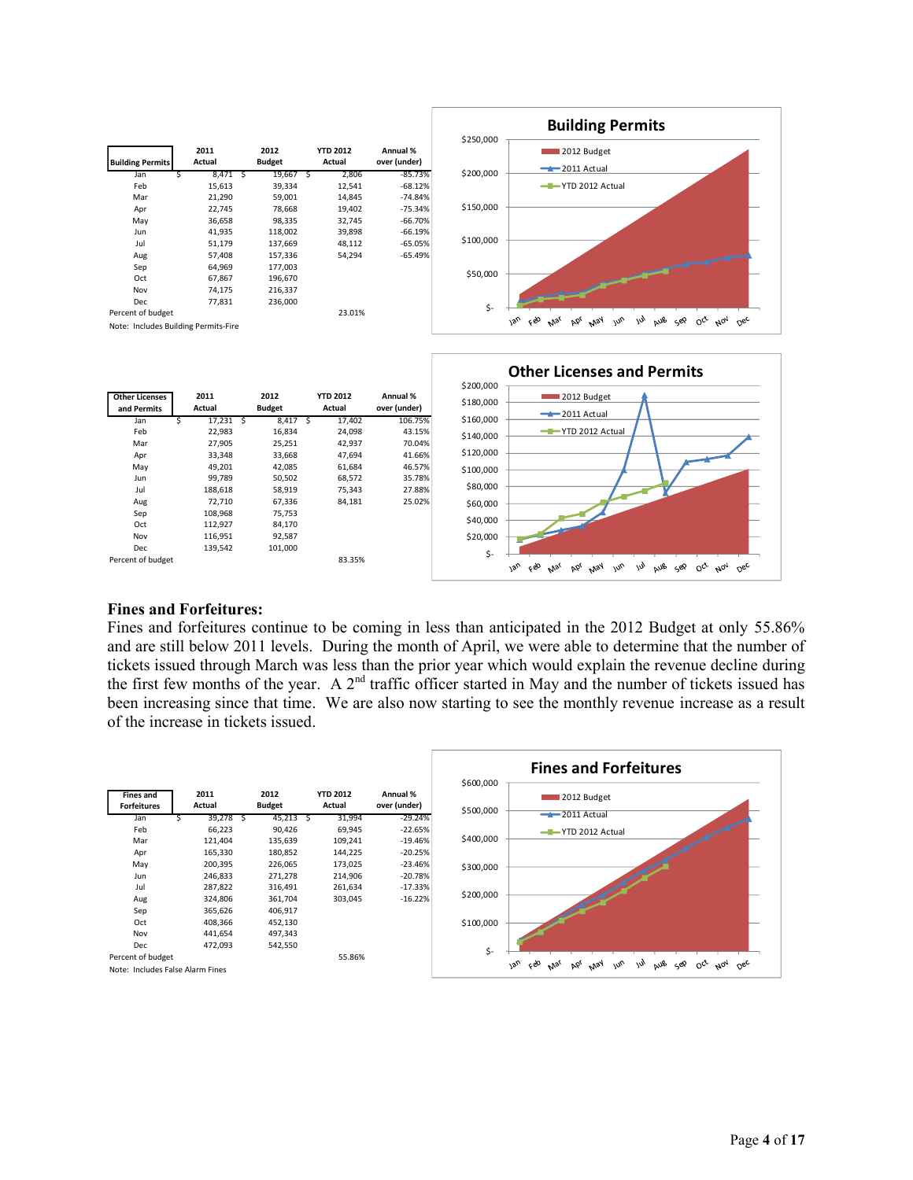

| <b>ULTER LICERSES</b> | <b>4011</b> | 2012          | 110 LU14 | M <sub>H</sub> | \$180,000 | . ZUIZ DUUKEL                                                                                                            |
|-----------------------|-------------|---------------|----------|----------------|-----------|--------------------------------------------------------------------------------------------------------------------------|
| and Permits           | Actual      | <b>Budget</b> | Actual   | over (under)   |           | $-2011$ Actual                                                                                                           |
| Jan                   | 17,231      | 8,417         | 17,402   | 106.75%        | \$160,000 |                                                                                                                          |
| Feb                   | 22,983      | 16,834        | 24,098   | 43.15%         | \$140,000 | THE YTD 2012 Actual                                                                                                      |
| Mar                   | 27,905      | 25,251        | 42,937   | 70.04%         |           |                                                                                                                          |
| Apr                   | 33,348      | 33,668        | 47,694   | 41.66%         | \$120,000 |                                                                                                                          |
| May                   | 49,201      | 42,085        | 61,684   | 46.57%         | \$100,000 |                                                                                                                          |
| Jun                   | 99,789      | 50,502        | 68,572   | 35.78%         |           |                                                                                                                          |
| Jul                   | 188,618     | 58,919        | 75,343   | 27.88%         | \$80,000  |                                                                                                                          |
| Aug                   | 72,710      | 67,336        | 84,181   | 25.02%         | \$60,000  |                                                                                                                          |
| Sep                   | 108,968     | 75,753        |          |                |           |                                                                                                                          |
| Oct                   | 112,927     | 84,170        |          |                | \$40,000  |                                                                                                                          |
| Nov                   | 116,951     | 92,587        |          |                | \$20,000  |                                                                                                                          |
| Dec                   | 139,542     | 101,000       |          |                |           |                                                                                                                          |
| Percent of budget     |             |               | 83.35%   |                | \$-       |                                                                                                                          |
|                       |             |               |          |                |           | çèo<br>$v_{\text{v}}$<br>ッ<br>$\omega_{\nu}$<br>aus<br>$O_{c}$<br>bb <sub>l</sub><br>May<br>حوي<br>οc<br>$A_{0n}$<br>Mar |

## **Fines and Forfeitures:**

Fines and forfeitures continue to be coming in less than anticipated in the 2012 Budget at only 55.86% and are still below 2011 levels. During the month of April, we were able to determine that the number of tickets issued through March was less than the prior year which would explain the revenue decline during the first few months of the year. A  $2<sup>nd</sup>$  traffic officer started in May and the number of tickets issued has been increasing since that time. We are also now starting to see the monthly revenue increase as a result of the increase in tickets issued.

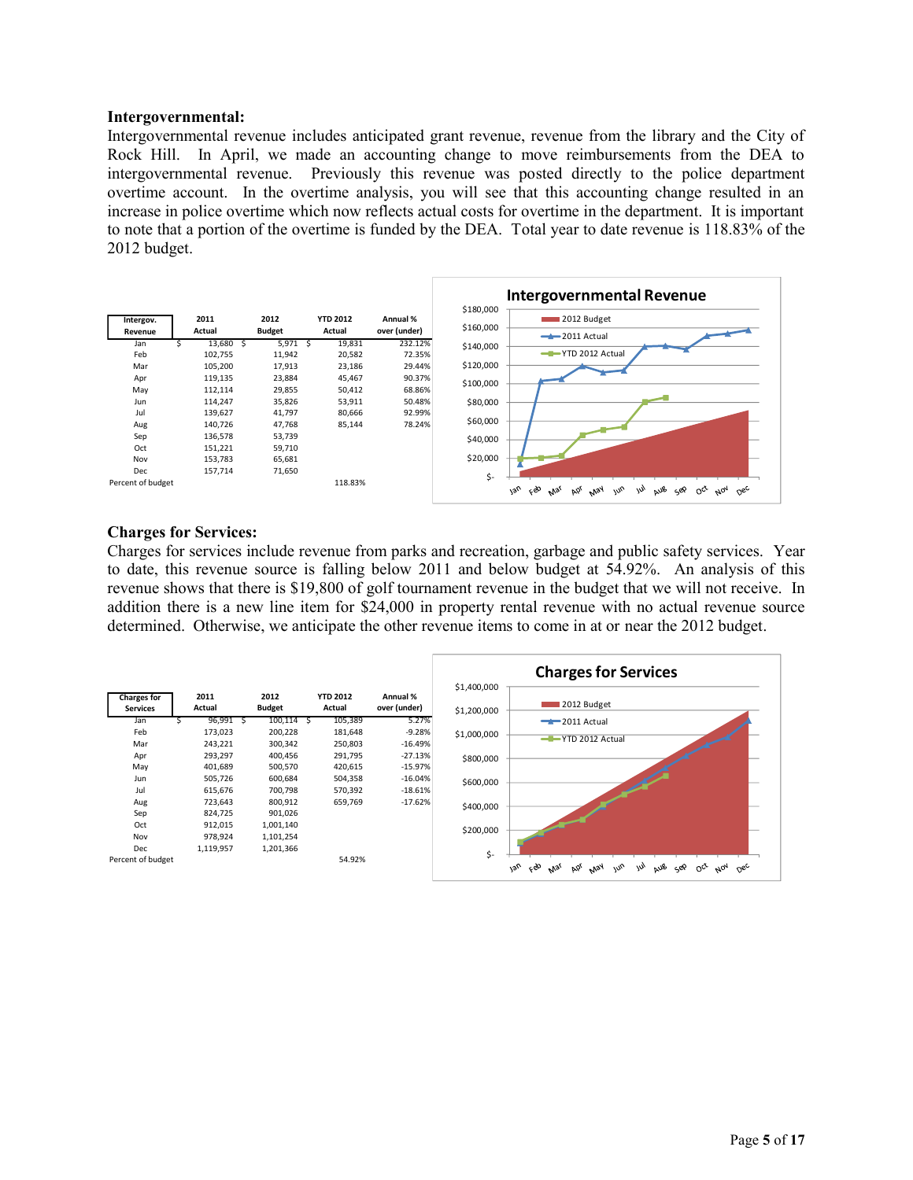#### **Intergovernmental:**

Intergovernmental revenue includes anticipated grant revenue, revenue from the library and the City of Rock Hill. In April, we made an accounting change to move reimbursements from the DEA to intergovernmental revenue. Previously this revenue was posted directly to the police department overtime account. In the overtime analysis, you will see that this accounting change resulted in an increase in police overtime which now reflects actual costs for overtime in the department. It is important to note that a portion of the overtime is funded by the DEA. Total year to date revenue is 118.83% of the 2012 budget.



#### **Charges for Services:**

Charges for services include revenue from parks and recreation, garbage and public safety services. Year to date, this revenue source is falling below 2011 and below budget at 54.92%. An analysis of this revenue shows that there is \$19,800 of golf tournament revenue in the budget that we will not receive. In addition there is a new line item for \$24,000 in property rental revenue with no actual revenue source determined. Otherwise, we anticipate the other revenue items to come in at or near the 2012 budget.

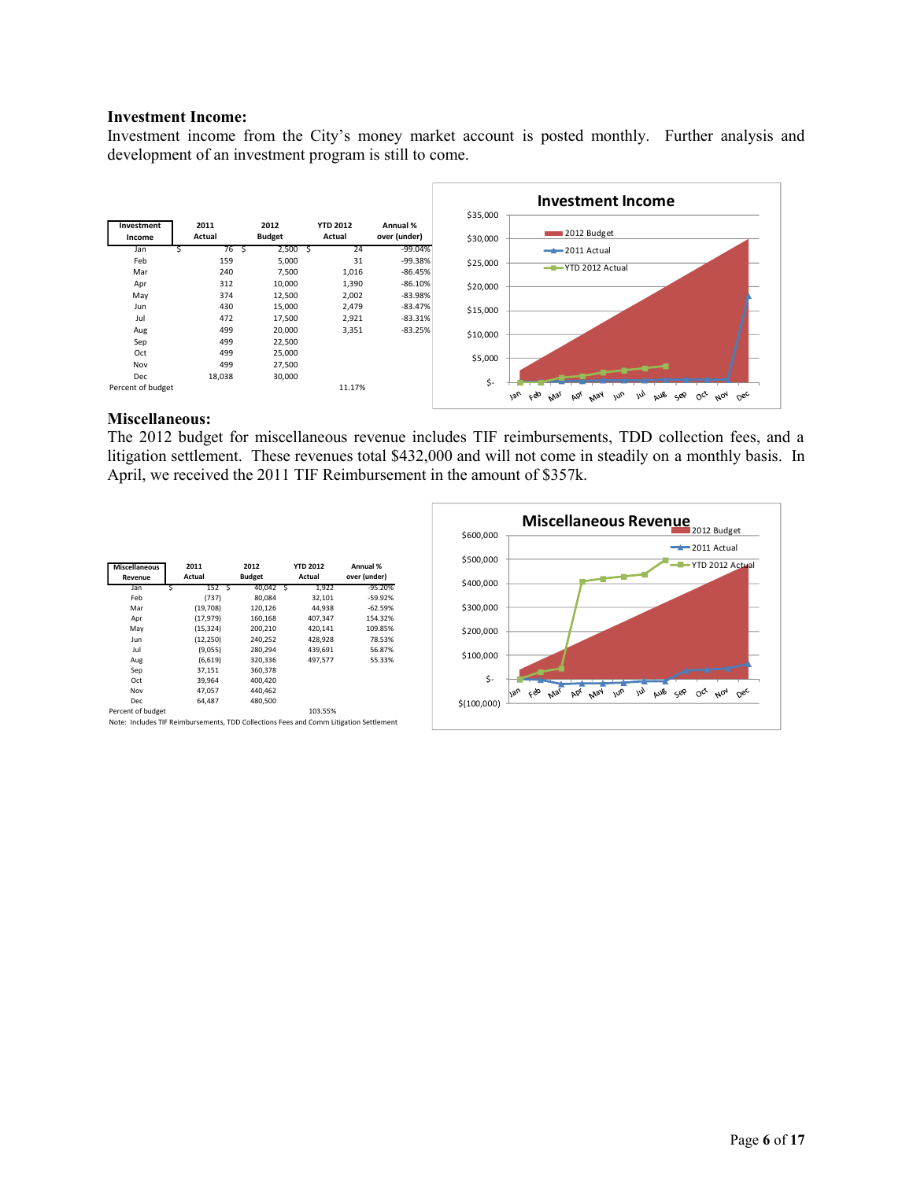#### **Investment Income:**

Investment income from the City's money market account is posted monthly. Further analysis and development of an investment program is still to come.



#### **Miscellaneous:**

The 2012 budget for miscellaneous revenue includes TIF reimbursements, TDD collection fees, and a litigation settlement. These revenues total \$432,000 and will not come in steadily on a monthly basis. In April, we received the 2011 TIF Reimbursement in the amount of \$357k.

| <b>Miscellaneous</b><br>Revenue | 2011<br>Actual | 2012<br><b>Budget</b> | <b>YTD 2012</b><br>Actual | Annual %<br>over (under) |
|---------------------------------|----------------|-----------------------|---------------------------|--------------------------|
| Jan                             | 152 S          | 40,042 \$             | 1,922                     | $-95.20%$                |
| Feb                             | (737)          | 80.084                | 32,101                    | $-59.92%$                |
| Mar                             | (19,708)       | 120,126               | 44,938                    | $-62.59%$                |
| Apr                             | (17, 979)      | 160,168               | 407,347                   | 154.32%                  |
| May                             | (15, 324)      | 200.210               | 420.141                   | 109.85%                  |
| Jun                             | (12, 250)      | 240,252               | 428,928                   | 78.53%                   |
| Jul                             | (9,055)        | 280,294               | 439,691                   | 56.87%                   |
| Aug                             | (6,619)        | 320,336               | 497.577                   | 55.33%                   |
| Sep                             | 37,151         | 360,378               |                           |                          |
| Oct                             | 39,964         | 400.420               |                           |                          |
| Nov                             | 47,057         | 440,462               |                           |                          |
| Dec                             | 64.487         | 480,500               |                           |                          |
| Percent of budget               |                |                       | 103.55%                   |                          |

Note: Includes TIF Reimbursements, TDD Collections Fees and Comm Litigation Settlement

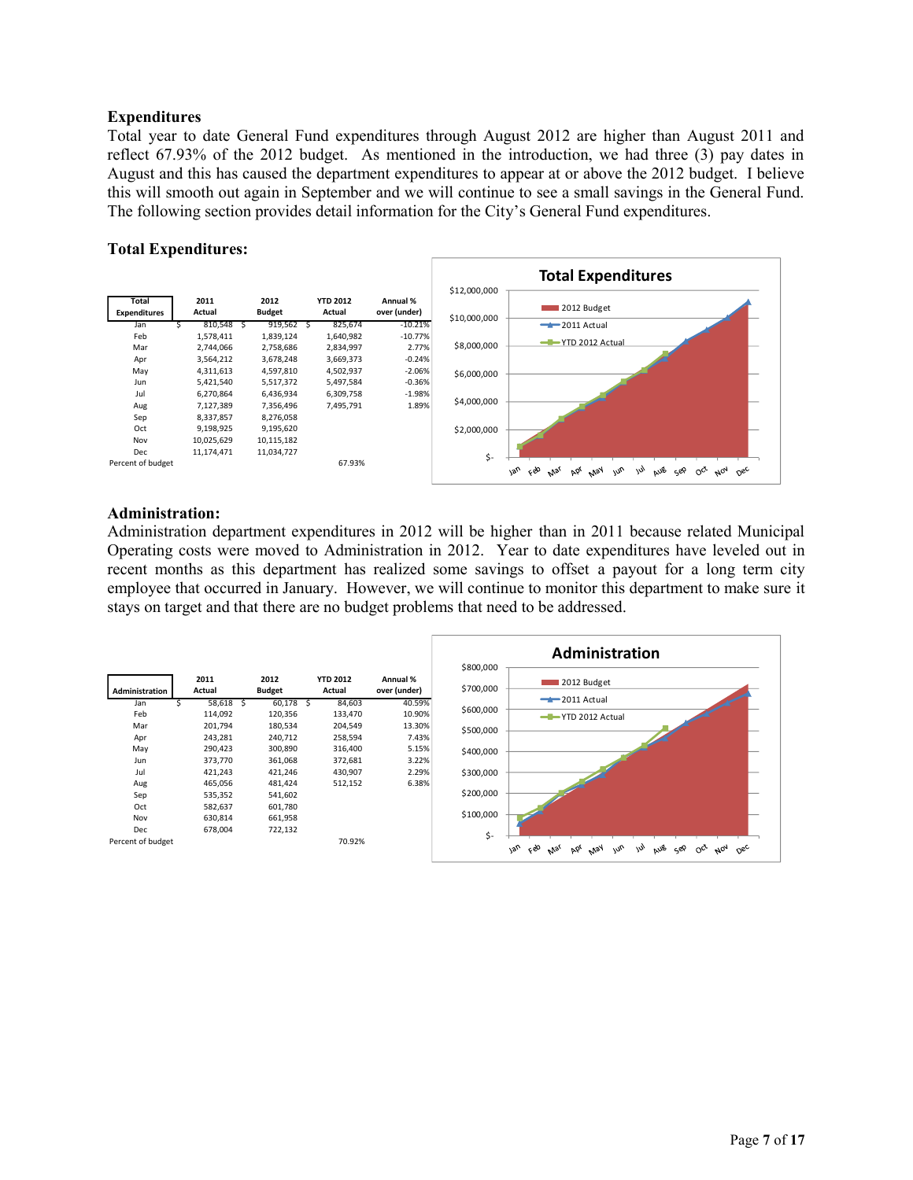## **Expenditures**

Total year to date General Fund expenditures through August 2012 are higher than August 2011 and reflect 67.93% of the 2012 budget. As mentioned in the introduction, we had three (3) pay dates in August and this has caused the department expenditures to appear at or above the 2012 budget. I believe this will smooth out again in September and we will continue to see a small savings in the General Fund. The following section provides detail information for the City's General Fund expenditures.

## **Total Expenditures:**



#### **Administration:**

Administration department expenditures in 2012 will be higher than in 2011 because related Municipal Operating costs were moved to Administration in 2012. Year to date expenditures have leveled out in recent months as this department has realized some savings to offset a payout for a long term city employee that occurred in January. However, we will continue to monitor this department to make sure it stays on target and that there are no budget problems that need to be addressed.

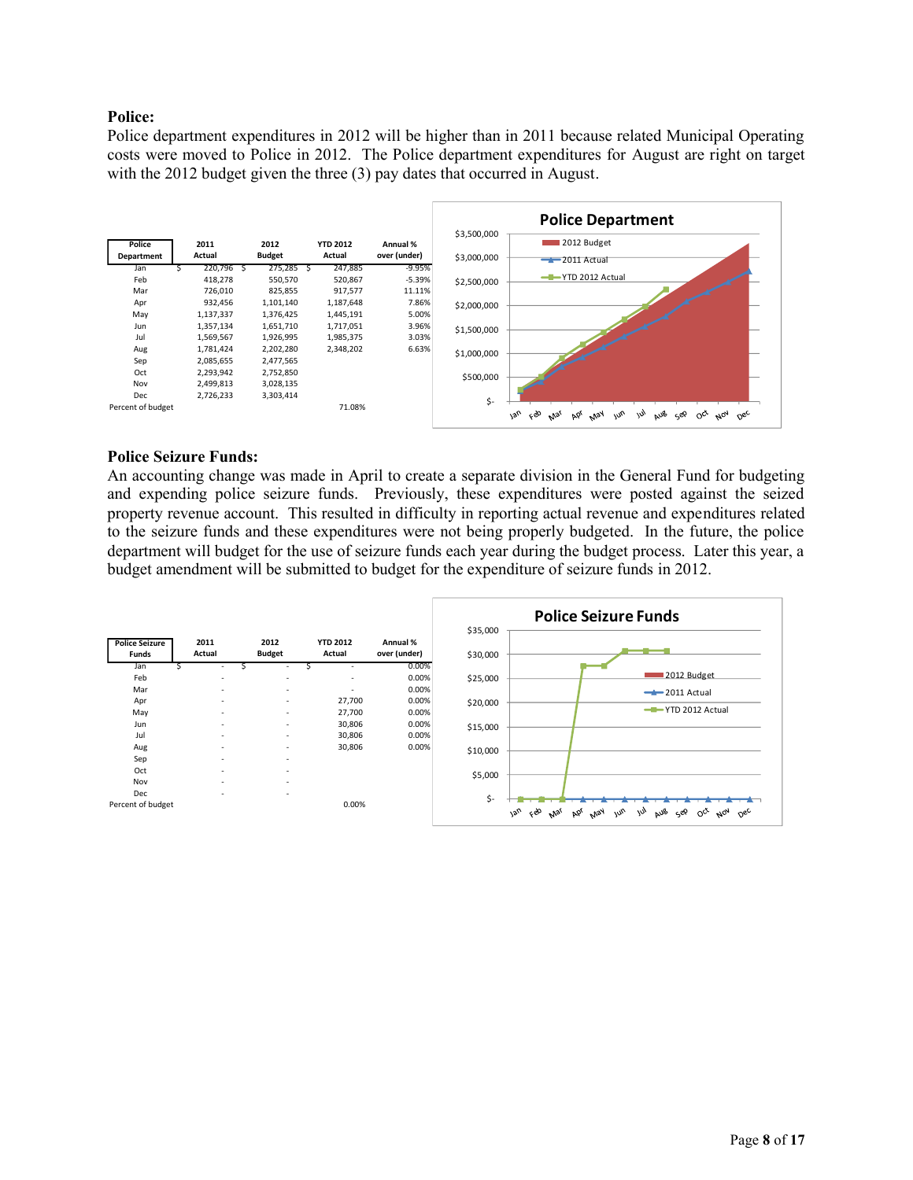## **Police:**

Police department expenditures in 2012 will be higher than in 2011 because related Municipal Operating costs were moved to Police in 2012. The Police department expenditures for August are right on target with the 2012 budget given the three (3) pay dates that occurred in August.



#### **Police Seizure Funds:**

An accounting change was made in April to create a separate division in the General Fund for budgeting and expending police seizure funds. Previously, these expenditures were posted against the seized property revenue account. This resulted in difficulty in reporting actual revenue and expenditures related to the seizure funds and these expenditures were not being properly budgeted. In the future, the police department will budget for the use of seizure funds each year during the budget process. Later this year, a budget amendment will be submitted to budget for the expenditure of seizure funds in 2012.

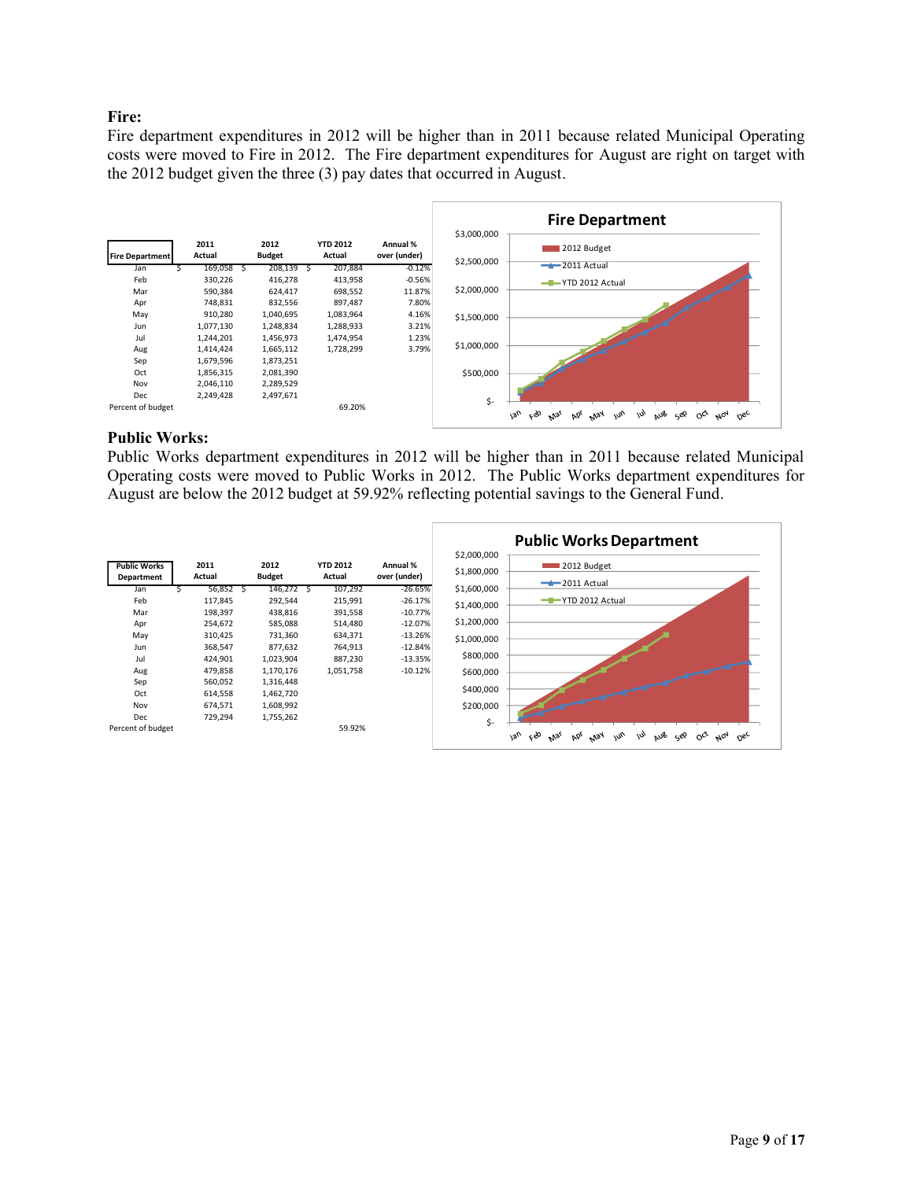## **Fire:**

Fire department expenditures in 2012 will be higher than in 2011 because related Municipal Operating costs were moved to Fire in 2012. The Fire department expenditures for August are right on target with the 2012 budget given the three (3) pay dates that occurred in August.



#### **Public Works:**

Public Works department expenditures in 2012 will be higher than in 2011 because related Municipal Operating costs were moved to Public Works in 2012. The Public Works department expenditures for August are below the 2012 budget at 59.92% reflecting potential savings to the General Fund.

|                                   |                |                       |                           |                          |                            | <b>Public Works Department</b>                                                                           |
|-----------------------------------|----------------|-----------------------|---------------------------|--------------------------|----------------------------|----------------------------------------------------------------------------------------------------------|
| <b>Public Works</b><br>Department | 2011<br>Actual | 2012<br><b>Budget</b> | <b>YTD 2012</b><br>Actual | Annual %<br>over (under) | \$2,000,000<br>\$1,800,000 | 2012 Budget<br>$-2011$ Actual                                                                            |
| Jan                               | 56,852         | 146,272 \$            | 107,292                   | $-26.65%$                | \$1,600,000                |                                                                                                          |
| Feb                               | 117,845        | 292,544               | 215,991                   | $-26.17%$                | \$1,400,000                | -T-YTD 2012 Actual                                                                                       |
| Mar                               | 198,397        | 438,816               | 391,558                   | $-10.77%$                |                            |                                                                                                          |
| Apr                               | 254,672        | 585,088               | 514,480                   | $-12.07%$                | \$1,200,000                |                                                                                                          |
| May                               | 310,425        | 731,360               | 634,371                   | $-13.26%$                | \$1,000,000                |                                                                                                          |
| Jun                               | 368,547        | 877,632               | 764,913                   | $-12.84%$                |                            |                                                                                                          |
| Jul                               | 424,901        | 1,023,904             | 887,230                   | $-13.35%$                | \$800,000                  |                                                                                                          |
| Aug                               | 479,858        | 1,170,176             | 1,051,758                 | $-10.12%$                | \$600,000                  |                                                                                                          |
| Sep                               | 560,052        | 1,316,448             |                           |                          |                            |                                                                                                          |
| Oct                               | 614,558        | 1,462,720             |                           |                          | \$400,000                  |                                                                                                          |
| Nov                               | 674,571        | 1,608,992             |                           |                          | \$200,000                  |                                                                                                          |
| Dec                               | 729,294        | 1,755,262             |                           |                          | \$-                        |                                                                                                          |
| Percent of budget                 |                |                       | 59.92%                    |                          |                            | ceo<br>130<br>May<br>$\omega_{\nu}$<br>w<br>aus<br>οČ<br>$A_{07}$<br><b>Pb</b><br>جون<br>$O_{6c}$<br>Mal |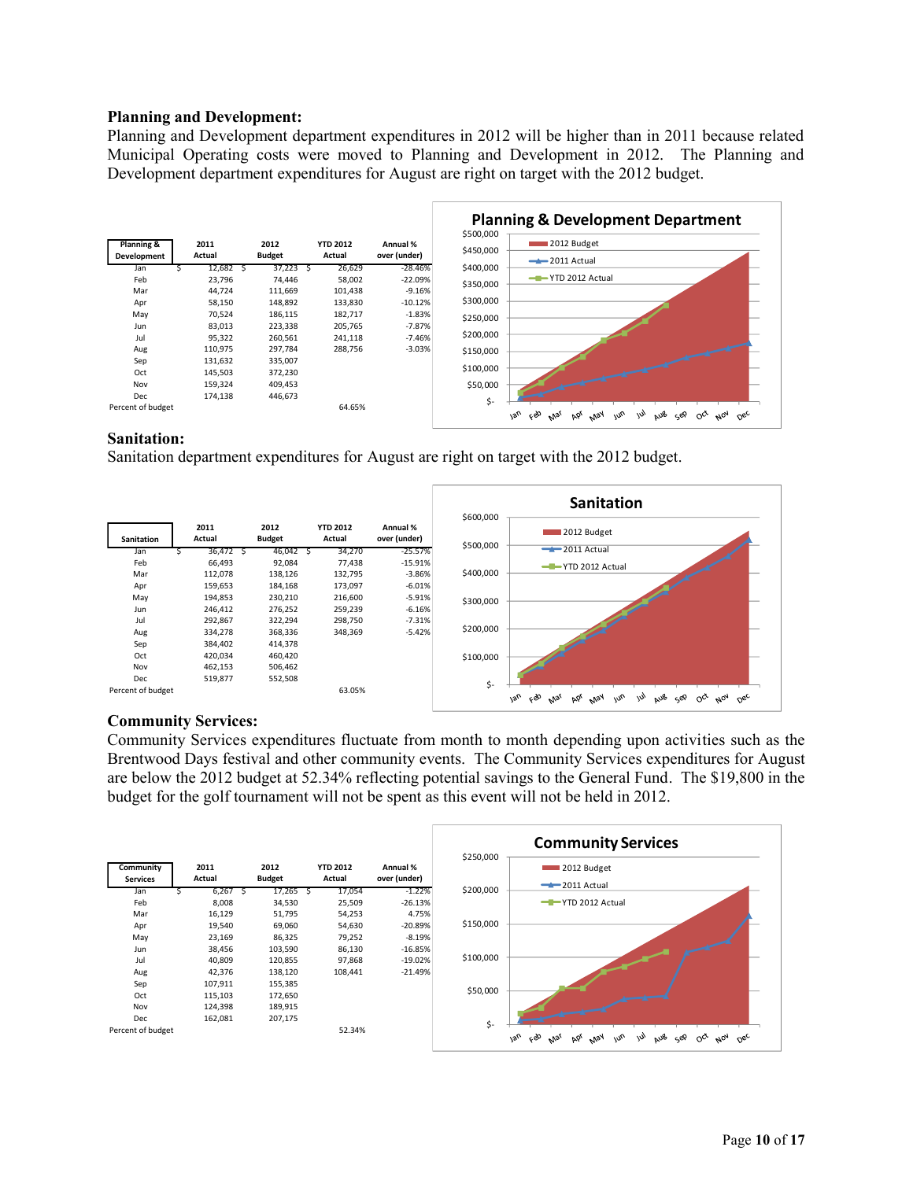#### **Planning and Development:**

Planning and Development department expenditures in 2012 will be higher than in 2011 because related Municipal Operating costs were moved to Planning and Development in 2012. The Planning and Development department expenditures for August are right on target with the 2012 budget.



## **Sanitation:**

Sanitation department expenditures for August are right on target with the 2012 budget.



## **Community Services:**

Community Services expenditures fluctuate from month to month depending upon activities such as the Brentwood Days festival and other community events. The Community Services expenditures for August are below the 2012 budget at 52.34% reflecting potential savings to the General Fund. The \$19,800 in the budget for the golf tournament will not be spent as this event will not be held in 2012.

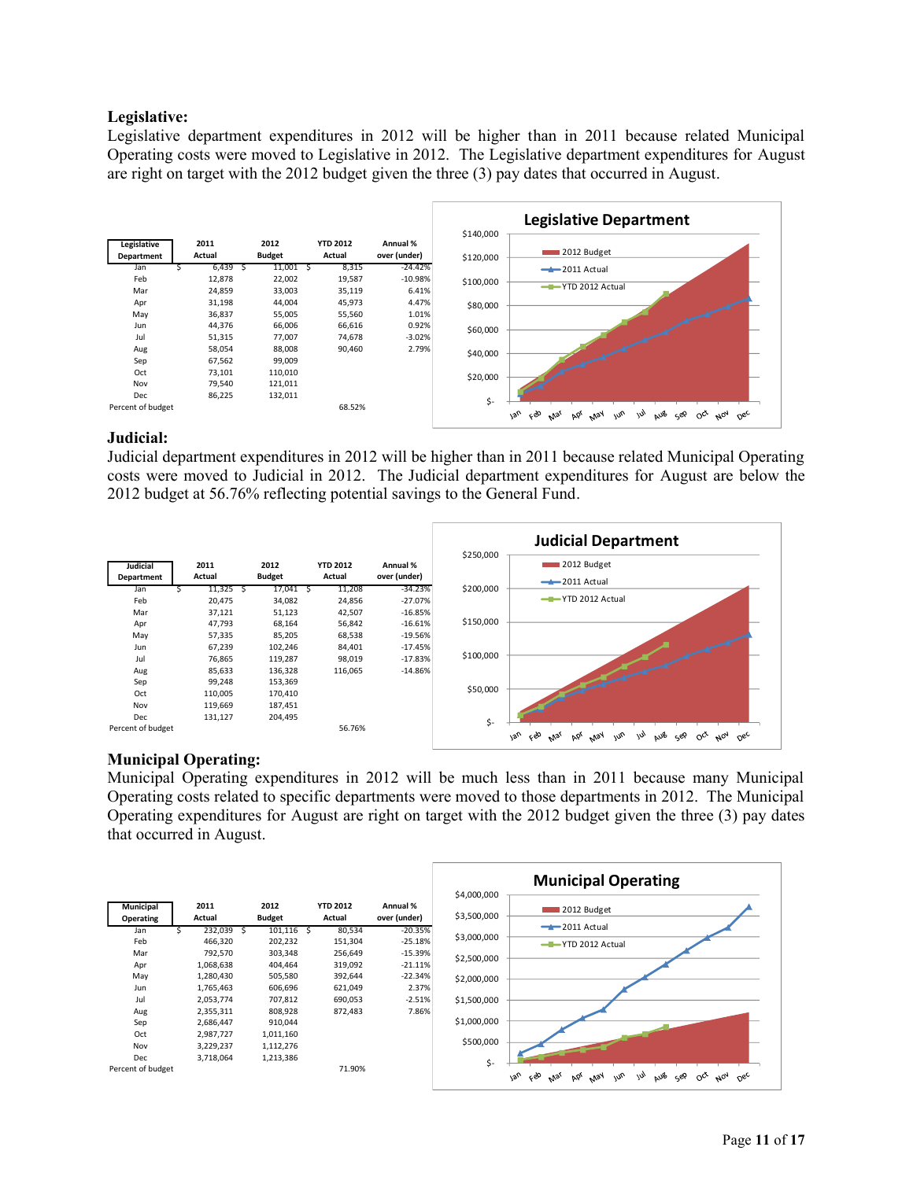## **Legislative:**

Legislative department expenditures in 2012 will be higher than in 2011 because related Municipal Operating costs were moved to Legislative in 2012. The Legislative department expenditures for August are right on target with the 2012 budget given the three (3) pay dates that occurred in August.



## **Judicial:**

Judicial department expenditures in 2012 will be higher than in 2011 because related Municipal Operating costs were moved to Judicial in 2012. The Judicial department expenditures for August are below the 2012 budget at 56.76% reflecting potential savings to the General Fund.



## **Municipal Operating:**

Municipal Operating expenditures in 2012 will be much less than in 2011 because many Municipal Operating costs related to specific departments were moved to those departments in 2012. The Municipal Operating expenditures for August are right on target with the 2012 budget given the three (3) pay dates that occurred in August.

|                               |                |                       |                           |                          |                            |     | <b>Municipal Operating</b>                                                                                                             |
|-------------------------------|----------------|-----------------------|---------------------------|--------------------------|----------------------------|-----|----------------------------------------------------------------------------------------------------------------------------------------|
| <b>Municipal</b><br>Operating | 2011<br>Actual | 2012<br><b>Budget</b> | <b>YTD 2012</b><br>Actual | Annual %<br>over (under) | \$4,000,000<br>\$3,500,000 |     | 2012 Budget                                                                                                                            |
| Jan                           | 232,039        | 101,116               | 80,534                    | $-20.35%$                | \$3,000,000                |     | $-2011$ Actual                                                                                                                         |
| Feb                           | 466,320        | 202,232               | 151,304                   | $-25.18%$                |                            |     | -T-YTD 2012 Actual                                                                                                                     |
| Mar                           | 792,570        | 303,348               | 256,649                   | $-15.39%$                | \$2,500,000                |     |                                                                                                                                        |
| Apr                           | 1,068,638      | 404,464               | 319,092                   | $-21.11%$                |                            |     |                                                                                                                                        |
| May                           | 1,280,430      | 505,580               | 392,644                   | $-22.34%$                | \$2,000,000                |     |                                                                                                                                        |
| Jun                           | 1,765,463      | 606,696               | 621,049                   | 2.37%                    |                            |     |                                                                                                                                        |
| Jul                           | 2,053,774      | 707,812               | 690,053                   | $-2.51%$                 | \$1,500,000                |     |                                                                                                                                        |
| Aug                           | 2,355,311      | 808,928               | 872,483                   | 7.86%                    |                            |     |                                                                                                                                        |
| Sep                           | 2,686,447      | 910,044               |                           |                          | \$1,000,000                |     |                                                                                                                                        |
| Oct                           | 2,987,727      | 1,011,160             |                           |                          |                            |     |                                                                                                                                        |
| Nov                           | 3,229,237      | 1,112,276             |                           |                          | \$500,000                  |     |                                                                                                                                        |
| Dec                           | 3,718,064      | 1,213,386             |                           |                          |                            |     |                                                                                                                                        |
| Percent of budget             |                |                       | 71.90%                    |                          |                            | \$- | 1an<br>ςÒ<br>AUB SEP<br>$A_{07}$<br>m <sub>o</sub><br>m<br>$\circ^{\alpha}$<br>May<br>$\Omega_{\rm sc}$<br>Þó <sub>l</sub><br>$v_{lg}$ |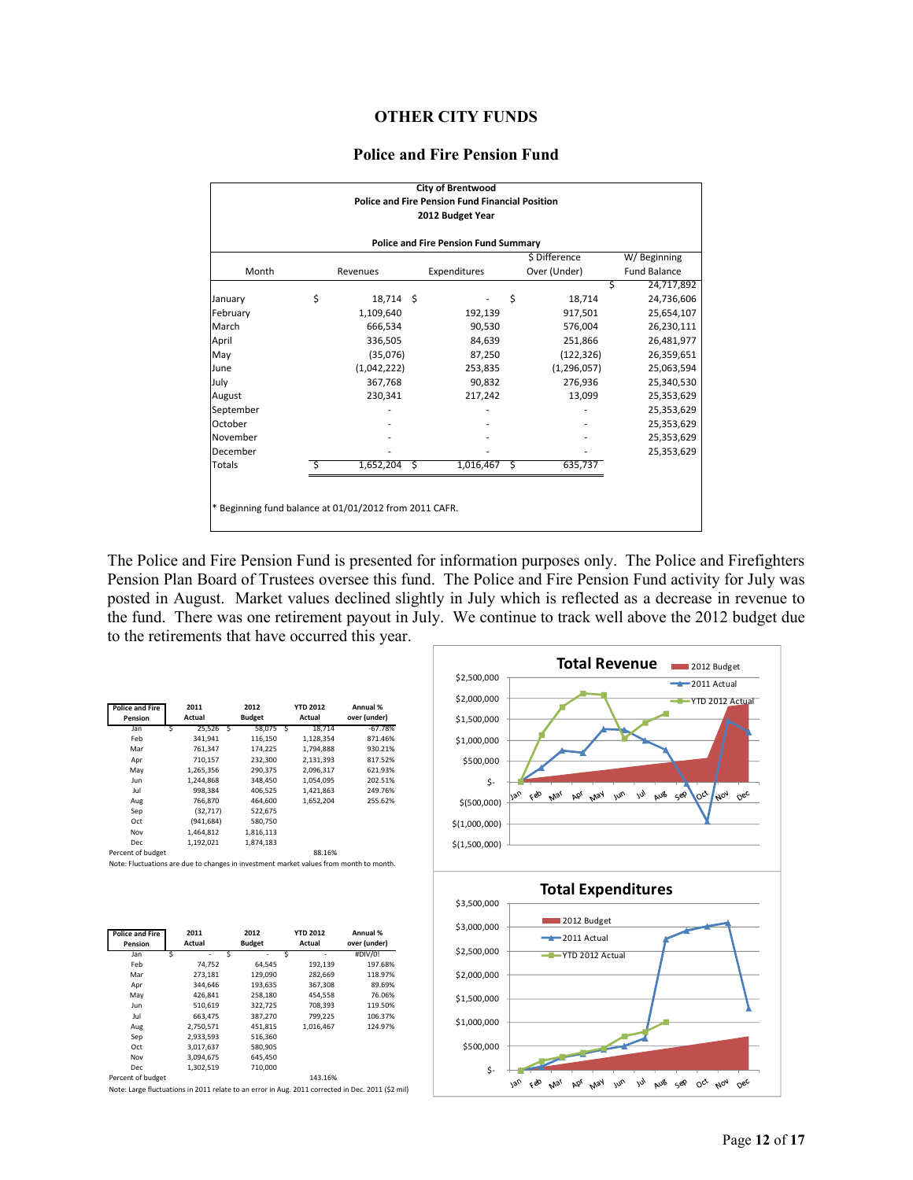#### **OTHER CITY FUNDS**

#### **Police and Fire Pension Fund**

|                                                        |    |             |    | <b>City of Brentwood</b>                                                   |               |                     |
|--------------------------------------------------------|----|-------------|----|----------------------------------------------------------------------------|---------------|---------------------|
|                                                        |    |             |    | <b>Police and Fire Pension Fund Financial Position</b><br>2012 Budget Year |               |                     |
|                                                        |    |             |    |                                                                            |               |                     |
|                                                        |    |             |    | <b>Police and Fire Pension Fund Summary</b>                                | \$ Difference | W/Beginning         |
| Month                                                  |    | Revenues    |    | Expenditures                                                               | Over (Under)  | <b>Fund Balance</b> |
|                                                        |    |             |    |                                                                            | S             | 24,717,892          |
| January                                                | \$ | 18,714 \$   |    |                                                                            | \$<br>18,714  | 24,736,606          |
| February                                               |    | 1,109,640   |    | 192,139                                                                    | 917,501       | 25,654,107          |
| March                                                  |    | 666,534     |    | 90,530                                                                     | 576,004       | 26,230,111          |
| April                                                  |    | 336,505     |    | 84,639                                                                     | 251,866       | 26,481,977          |
| May                                                    |    | (35,076)    |    | 87,250                                                                     | (122, 326)    | 26,359,651          |
| June                                                   |    | (1,042,222) |    | 253,835                                                                    | (1, 296, 057) | 25,063,594          |
| July                                                   |    | 367,768     |    | 90,832                                                                     | 276,936       | 25,340,530          |
| August                                                 |    | 230,341     |    | 217,242                                                                    | 13,099        | 25,353,629          |
| September                                              |    |             |    |                                                                            |               | 25,353,629          |
| October                                                |    |             |    |                                                                            |               | 25,353,629          |
| November                                               |    |             |    |                                                                            |               | 25,353,629          |
| December                                               |    |             |    |                                                                            |               | 25,353,629          |
| Totals                                                 | S  | 1,652,204   | -S | $1,016,467$ \$                                                             | 635,737       |                     |
|                                                        |    |             |    |                                                                            |               |                     |
|                                                        |    |             |    |                                                                            |               |                     |
| * Beginning fund balance at 01/01/2012 from 2011 CAFR. |    |             |    |                                                                            |               |                     |
|                                                        |    |             |    |                                                                            |               |                     |

The Police and Fire Pension Fund is presented for information purposes only. The Police and Firefighters Pension Plan Board of Trustees oversee this fund. The Police and Fire Pension Fund activity for July was posted in August. Market values declined slightly in July which is reflected as a decrease in revenue to the fund. There was one retirement payout in July. We continue to track well above the 2012 budget due to the retirements that have occurred this year.

| <b>Police and Fire</b><br>Pension |   | 2011<br>Actual |   | 2012<br><b>Budget</b> |   | <b>YTD 2012</b><br>Actual | Annual %<br>over (under) |
|-----------------------------------|---|----------------|---|-----------------------|---|---------------------------|--------------------------|
| Jan                               | Ś | 25,526         | Ś | 58.075                | Ś | 18.714                    | $-67.78%$                |
| Feb                               |   | 341.941        |   | 116.150               |   | 1.128.354                 | 871.46%                  |
| Mar                               |   | 761.347        |   | 174.225               |   | 1.794.888                 | 930.21%                  |
| Apr                               |   | 710,157        |   | 232,300               |   | 2,131,393                 | 817.52%                  |
| May                               |   | 1,265,356      |   | 290,375               |   | 2,096,317                 | 621.93%                  |
| Jun                               |   | 1.244.868      |   | 348.450               |   | 1.054.095                 | 202.51%                  |
| Jul                               |   | 998.384        |   | 406.525               |   | 1.421.863                 | 249.76%                  |
| Aug                               |   | 766.870        |   | 464.600               |   | 1.652.204                 | 255.62%                  |
| Sep                               |   | (32.717)       |   | 522.675               |   |                           |                          |
| Oct                               |   | (941, 684)     |   | 580,750               |   |                           |                          |
| Nov                               |   | 1.464.812      |   | 1,816,113             |   |                           |                          |
| <b>Dec</b>                        |   | 1,192,021      |   | 1,874,183             |   |                           |                          |
| Percent of budget                 |   |                |   |                       |   | 88.16%                    |                          |

Note: Fluctuations are due to changes in investment market values from month to month.

| Police and Fire<br>Pension | 2011<br>Actual | 2012<br><b>Budget</b> | <b>YTD 2012</b><br>Actual | Annual %<br>over (under) |
|----------------------------|----------------|-----------------------|---------------------------|--------------------------|
| Jan                        | Ś              | Ŝ                     | Ś<br>۰                    | #DIV/0!                  |
| Feb                        | 74.752         | 64.545                | 192,139                   | 197.68%                  |
| Mar                        | 273,181        | 129.090               | 282.669                   | 118.97%                  |
| Apr                        | 344.646        | 193,635               | 367,308                   | 89.69%                   |
| May                        | 426.841        | 258,180               | 454.558                   | 76.06%                   |
| Jun                        | 510.619        | 322.725               | 708.393                   | 119.50%                  |
| Jul                        | 663.475        | 387,270               | 799,225                   | 106.37%                  |
| Aug                        | 2.750.571      | 451.815               | 1.016.467                 | 124.97%                  |
| Sep                        | 2,933,593      | 516,360               |                           |                          |
| Oct                        | 3.017.637      | 580.905               |                           |                          |
| Nov                        | 3,094,675      | 645,450               |                           |                          |
| <b>Dec</b>                 | 1,302,519      | 710,000               |                           |                          |
| Percent of budget          |                |                       | 143.16%                   |                          |

Note: Large fluctuations in 2011 relate to an error in Aug. 2011 corrected in Dec. 2011 (\$2 mil)

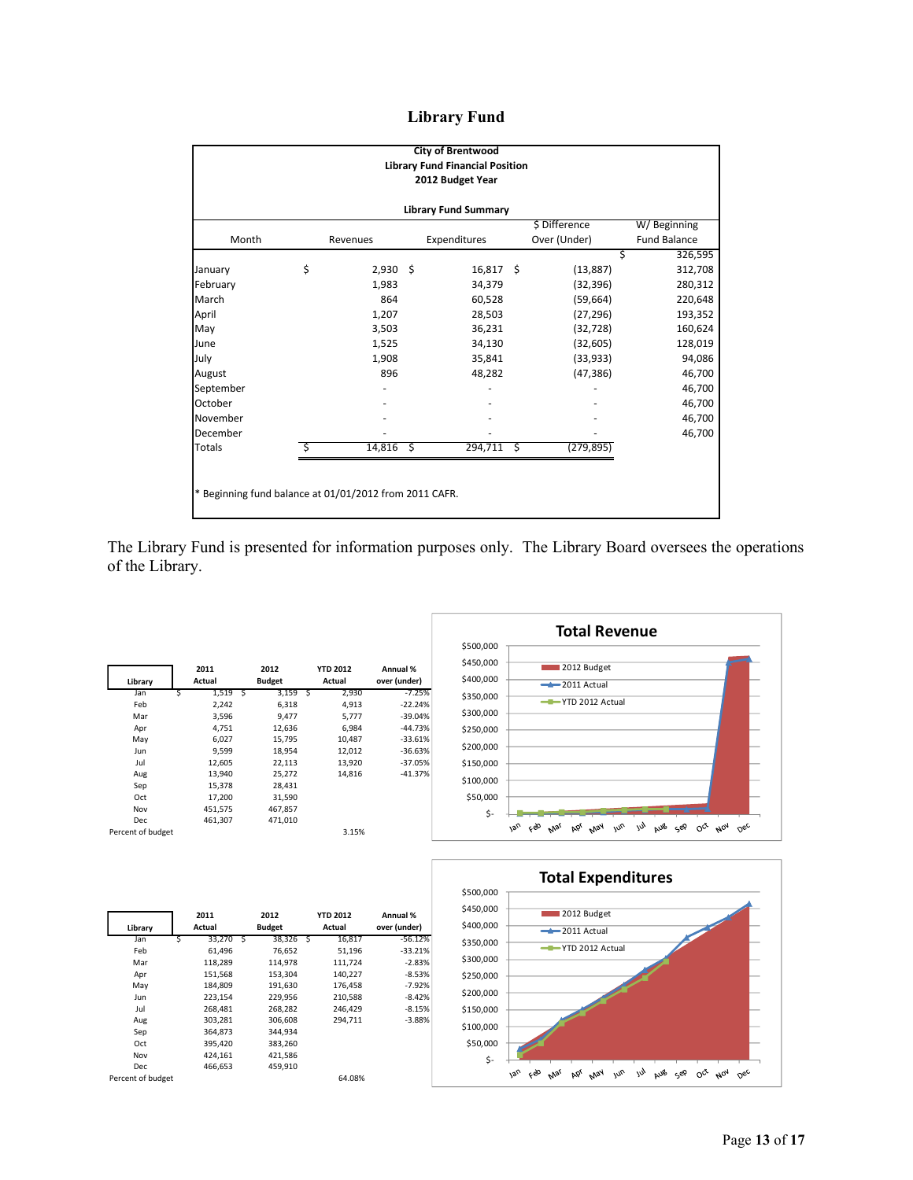# **Library Fund**

| <b>City of Brentwood</b><br><b>Library Fund Financial Position</b><br>2012 Budget Year |    |               |     |                             |    |            |    |                                                        |  |
|----------------------------------------------------------------------------------------|----|---------------|-----|-----------------------------|----|------------|----|--------------------------------------------------------|--|
|                                                                                        |    |               |     | <b>Library Fund Summary</b> |    |            |    |                                                        |  |
| W/Beginning                                                                            |    | \$ Difference |     |                             |    |            |    |                                                        |  |
| <b>Fund Balance</b>                                                                    |    | Over (Under)  |     | Expenditures                |    | Revenues   |    | Month                                                  |  |
| 326,595                                                                                | \$ |               |     |                             |    |            |    |                                                        |  |
| 312,708                                                                                |    | (13, 887)     |     | $16,817$ \$                 |    | $2,930$ \$ | \$ | January                                                |  |
| 280,312                                                                                |    | (32, 396)     |     | 34,379                      |    | 1,983      |    | February                                               |  |
| 220,648                                                                                |    | (59, 664)     |     | 60,528                      |    | 864        |    | March                                                  |  |
| 193,352                                                                                |    | (27, 296)     |     | 28,503                      |    | 1,207      |    | April                                                  |  |
| 160,624                                                                                |    | (32, 728)     |     | 36,231                      |    | 3,503      |    | May                                                    |  |
| 128,019                                                                                |    | (32, 605)     |     | 34,130                      |    | 1,525      |    | June                                                   |  |
| 94,086                                                                                 |    | (33, 933)     |     | 35,841                      |    | 1,908      |    | July                                                   |  |
| 46,700                                                                                 |    | (47, 386)     |     | 48,282                      |    | 896        |    | August                                                 |  |
| 46,700                                                                                 |    |               |     |                             |    |            |    | September                                              |  |
| 46,700                                                                                 |    |               |     |                             |    |            |    | October                                                |  |
| 46,700                                                                                 |    |               |     |                             |    |            |    | November                                               |  |
| 46,700                                                                                 |    |               |     |                             |    |            |    | December                                               |  |
|                                                                                        |    | (279, 895)    | -\$ | 294,711                     | Ŝ. | 14,816     | Ś  | <b>Totals</b>                                          |  |
|                                                                                        |    |               |     |                             |    |            |    | * Beginning fund balance at 01/01/2012 from 2011 CAFR. |  |
|                                                                                        |    |               |     |                             |    |            |    |                                                        |  |

The Library Fund is presented for information purposes only. The Library Board oversees the operations of the Library.

|                   |   | 2011    |   | 2012          |   | <b>YTD 2012</b> | Annual %     |
|-------------------|---|---------|---|---------------|---|-----------------|--------------|
| Library           |   | Actual  |   | <b>Budget</b> |   | Actual          | over (under) |
| Jan               | Ś | 1,519   | Ś | 3,159         | Ś | 2,930           | $-7.25%$     |
| Feb               |   | 2,242   |   | 6,318         |   | 4,913           | $-22.24%$    |
| Mar               |   | 3,596   |   | 9,477         |   | 5,777           | $-39.04%$    |
| Apr               |   | 4,751   |   | 12,636        |   | 6,984           | $-44.73%$    |
| May               |   | 6.027   |   | 15,795        |   | 10,487          | $-33.61%$    |
| Jun               |   | 9,599   |   | 18,954        |   | 12,012          | $-36.63%$    |
| Jul               |   | 12,605  |   | 22,113        |   | 13,920          | $-37.05%$    |
| Aug               |   | 13,940  |   | 25,272        |   | 14.816          | $-41.37%$    |
| Sep               |   | 15.378  |   | 28.431        |   |                 |              |
| Oct               |   | 17,200  |   | 31,590        |   |                 |              |
| Nov               |   | 451,575 |   | 467,857       |   |                 |              |
| Dec               |   | 461,307 |   | 471.010       |   |                 |              |
| Percent of budget |   |         |   |               |   | 3.15%           |              |





|                   |   | 2011    |   | 2012          |     | <b>YTD 2012</b> | Annual %     |
|-------------------|---|---------|---|---------------|-----|-----------------|--------------|
| Library           |   | Actual  |   | <b>Budget</b> |     | Actual          | over (under) |
| Jan               | Ś | 33,270  | Ś | 38,326        | - S | 16,817          | $-56.12%$    |
| Feb               |   | 61,496  |   | 76,652        |     | 51,196          | $-33.21%$    |
| Mar               |   | 118,289 |   | 114,978       |     | 111,724         | $-2.83%$     |
| Apr               |   | 151,568 |   | 153,304       |     | 140,227         | $-8.53%$     |
| May               |   | 184.809 |   | 191.630       |     | 176.458         | $-7.92%$     |
| Jun               |   | 223,154 |   | 229,956       |     | 210,588         | $-8.42%$     |
| Jul               |   | 268,481 |   | 268,282       |     | 246.429         | $-8.15%$     |
| Aug               |   | 303.281 |   | 306.608       |     | 294.711         | $-3.88%$     |
| Sep               |   | 364,873 |   | 344,934       |     |                 |              |
| Oct               |   | 395,420 |   | 383,260       |     |                 |              |
| Nov               |   | 424,161 |   | 421,586       |     |                 |              |
| Dec               |   | 466.653 |   | 459.910       |     |                 |              |
| Percent of budget |   |         |   |               |     | 64.08%          |              |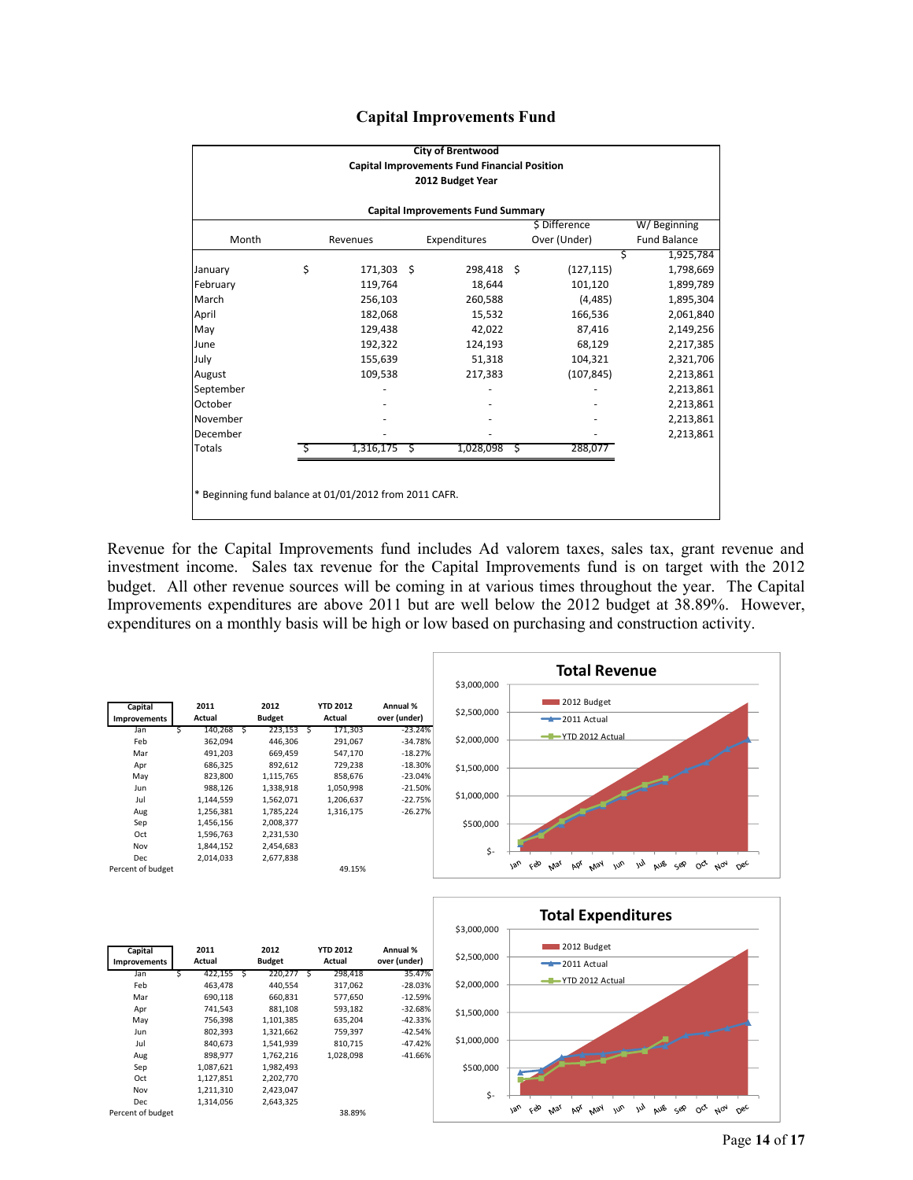|  | <b>Capital Improvements Fund</b> |  |
|--|----------------------------------|--|
|--|----------------------------------|--|

|                                                        |    |           |               | <b>City of Brentwood</b> |   |              |   |                     |  |  |  |
|--------------------------------------------------------|----|-----------|---------------|--------------------------|---|--------------|---|---------------------|--|--|--|
| <b>Capital Improvements Fund Financial Position</b>    |    |           |               |                          |   |              |   |                     |  |  |  |
| 2012 Budget Year                                       |    |           |               |                          |   |              |   |                     |  |  |  |
|                                                        |    |           |               |                          |   |              |   |                     |  |  |  |
| <b>Capital Improvements Fund Summary</b>               |    |           |               |                          |   |              |   |                     |  |  |  |
| \$ Difference<br>W/Beginning                           |    |           |               |                          |   |              |   |                     |  |  |  |
| Month                                                  |    | Revenues  |               | Expenditures             |   | Over (Under) |   | <b>Fund Balance</b> |  |  |  |
|                                                        |    |           |               |                          |   |              | Ś | 1,925,784           |  |  |  |
| January                                                | \$ | 171,303   | <sup>\$</sup> | 298,418 \$               |   | (127, 115)   |   | 1,798,669           |  |  |  |
| February                                               |    | 119,764   |               | 18,644                   |   | 101,120      |   | 1,899,789           |  |  |  |
| March                                                  |    | 256,103   |               | 260,588                  |   | (4, 485)     |   | 1,895,304           |  |  |  |
| April                                                  |    | 182,068   |               | 15,532                   |   | 166,536      |   | 2,061,840           |  |  |  |
| May                                                    |    | 129,438   |               | 42,022                   |   | 87,416       |   | 2,149,256           |  |  |  |
| June                                                   |    | 192,322   |               | 124,193                  |   | 68,129       |   | 2,217,385           |  |  |  |
| July                                                   |    | 155,639   |               | 51,318                   |   | 104,321      |   | 2,321,706           |  |  |  |
| August                                                 |    | 109,538   |               | 217,383                  |   | (107, 845)   |   | 2,213,861           |  |  |  |
| September                                              |    |           |               |                          |   |              |   | 2,213,861           |  |  |  |
| October                                                |    |           |               |                          |   |              |   | 2,213,861           |  |  |  |
| November                                               |    |           |               |                          |   |              |   | 2,213,861           |  |  |  |
| December                                               |    |           |               |                          |   |              |   | 2,213,861           |  |  |  |
| <b>Totals</b>                                          |    | 1,316,175 | S             | 1,028,098                | Ś | 288,077      |   |                     |  |  |  |
|                                                        |    |           |               |                          |   |              |   |                     |  |  |  |
|                                                        |    |           |               |                          |   |              |   |                     |  |  |  |
| * Beginning fund balance at 01/01/2012 from 2011 CAFR. |    |           |               |                          |   |              |   |                     |  |  |  |
|                                                        |    |           |               |                          |   |              |   |                     |  |  |  |

Revenue for the Capital Improvements fund includes Ad valorem taxes, sales tax, grant revenue and investment income. Sales tax revenue for the Capital Improvements fund is on target with the 2012 budget. All other revenue sources will be coming in at various times throughout the year. The Capital Improvements expenditures are above 2011 but are well below the 2012 budget at 38.89%. However, expenditures on a monthly basis will be high or low based on purchasing and construction activity.





| Capital             |   | 2011       | 2012          |            | <b>YTD 2012</b> | Annual %     |
|---------------------|---|------------|---------------|------------|-----------------|--------------|
| <b>Improvements</b> |   | Actual     | <b>Budget</b> |            | Actual          | over (under) |
| Jan                 | Ś | 422,155 \$ | 220,277       | $\sqrt{5}$ | 298,418         | 35.47%       |
| Feb                 |   | 463,478    | 440,554       |            | 317,062         | $-28.03%$    |
| Mar                 |   | 690,118    | 660,831       |            | 577,650         | $-12.59%$    |
| Apr                 |   | 741,543    | 881,108       |            | 593,182         | $-32.68%$    |
| May                 |   | 756,398    | 1,101,385     |            | 635,204         | $-42.33%$    |
| Jun                 |   | 802,393    | 1,321,662     |            | 759,397         | $-42.54%$    |
| Jul                 |   | 840,673    | 1,541,939     |            | 810,715         | $-47.42%$    |
| Aug                 |   | 898,977    | 1,762,216     |            | 1,028,098       | $-41.66%$    |
| Sep                 |   | 1,087,621  | 1,982,493     |            |                 |              |
| Oct                 |   | 1,127,851  | 2,202,770     |            |                 |              |
| Nov                 |   | 1,211,310  | 2,423,047     |            |                 |              |
| Dec                 |   | 1,314,056  | 2,643,325     |            |                 |              |
| Percent of budget   |   |            |               |            | 38.89%          |              |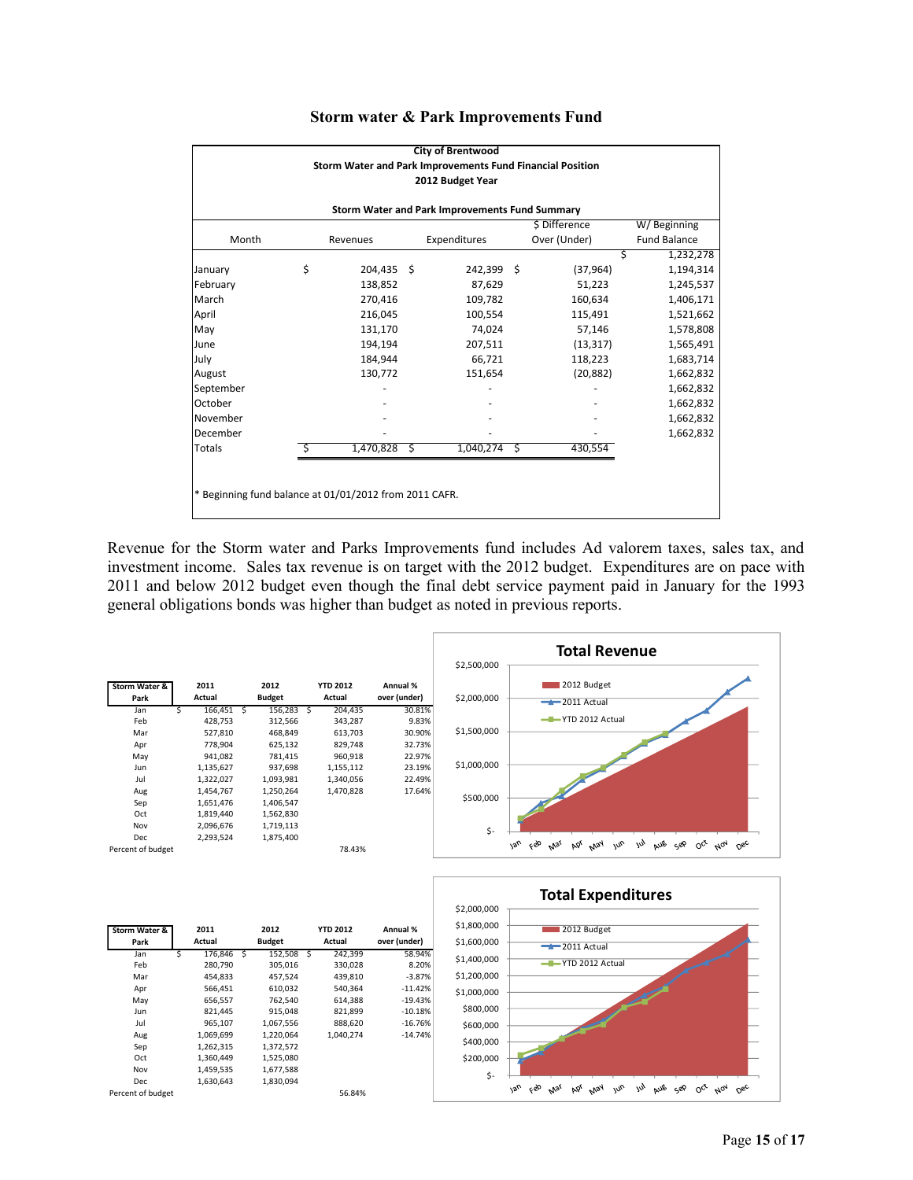| <b>City of Brentwood</b>                                                 |    |            |    |            |   |           |                |  |  |  |  |
|--------------------------------------------------------------------------|----|------------|----|------------|---|-----------|----------------|--|--|--|--|
| Storm Water and Park Improvements Fund Financial Position                |    |            |    |            |   |           |                |  |  |  |  |
| 2012 Budget Year                                                         |    |            |    |            |   |           |                |  |  |  |  |
|                                                                          |    |            |    |            |   |           |                |  |  |  |  |
| Storm Water and Park Improvements Fund Summary                           |    |            |    |            |   |           |                |  |  |  |  |
| \$ Difference<br>W/Beginning                                             |    |            |    |            |   |           |                |  |  |  |  |
| Over (Under)<br>Month<br><b>Fund Balance</b><br>Expenditures<br>Revenues |    |            |    |            |   |           |                |  |  |  |  |
|                                                                          |    |            |    |            |   |           | 1,232,278<br>Ś |  |  |  |  |
| January                                                                  | \$ | 204,435 \$ |    | 242,399 \$ |   | (37, 964) | 1,194,314      |  |  |  |  |
| February                                                                 |    | 138,852    |    | 87,629     |   | 51,223    | 1,245,537      |  |  |  |  |
| March                                                                    |    | 270,416    |    | 109,782    |   | 160,634   | 1,406,171      |  |  |  |  |
| April                                                                    |    | 216,045    |    | 100,554    |   | 115,491   | 1,521,662      |  |  |  |  |
| May                                                                      |    | 131,170    |    | 74,024     |   | 57,146    | 1,578,808      |  |  |  |  |
| June                                                                     |    | 194,194    |    | 207,511    |   | (13, 317) | 1,565,491      |  |  |  |  |
| July                                                                     |    | 184,944    |    | 66,721     |   | 118,223   | 1,683,714      |  |  |  |  |
| August                                                                   |    | 130,772    |    | 151,654    |   | (20, 882) | 1,662,832      |  |  |  |  |
| September                                                                |    |            |    |            |   |           | 1,662,832      |  |  |  |  |
| October                                                                  |    |            |    |            |   |           | 1,662,832      |  |  |  |  |
| November                                                                 |    |            |    |            |   |           | 1,662,832      |  |  |  |  |
| December                                                                 |    |            |    |            |   |           | 1,662,832      |  |  |  |  |
| <b>Totals</b>                                                            |    | 1,470,828  | Ś. | 1,040,274  | Ś | 430,554   |                |  |  |  |  |
|                                                                          |    |            |    |            |   |           |                |  |  |  |  |
|                                                                          |    |            |    |            |   |           |                |  |  |  |  |
| * Beginning fund balance at 01/01/2012 from 2011 CAFR.                   |    |            |    |            |   |           |                |  |  |  |  |
|                                                                          |    |            |    |            |   |           |                |  |  |  |  |

#### **Storm water & Park Improvements Fund**

Revenue for the Storm water and Parks Improvements fund includes Ad valorem taxes, sales tax, and investment income. Sales tax revenue is on target with the 2012 budget. Expenditures are on pace with 2011 and below 2012 budget even though the final debt service payment paid in January for the 1993 general obligations bonds was higher than budget as noted in previous reports.



| Storm Water &     |   | 2011      |   | 2012          |   | <b>YTD 2012</b> | Annual %     |
|-------------------|---|-----------|---|---------------|---|-----------------|--------------|
| Park              |   | Actual    |   | <b>Budget</b> |   | Actual          | over (under) |
| Jan               | Ś | 176,846   | S | 152,508       | S | 242,399         | 58.94%       |
| Feb               |   | 280,790   |   | 305,016       |   | 330,028         | 8.20%        |
| Mar               |   | 454.833   |   | 457.524       |   | 439.810         | $-3.87%$     |
| Apr               |   | 566,451   |   | 610,032       |   | 540,364         | $-11.42%$    |
| May               |   | 656,557   |   | 762,540       |   | 614,388         | $-19.43%$    |
| Jun               |   | 821,445   |   | 915,048       |   | 821,899         | $-10.18%$    |
| Jul               |   | 965.107   |   | 1,067,556     |   | 888.620         | $-16.76%$    |
| Aug               |   | 1,069,699 |   | 1,220,064     |   | 1,040,274       | $-14.74%$    |
| Sep               |   | 1,262,315 |   | 1,372,572     |   |                 |              |
| Oct               |   | 1,360,449 |   | 1,525,080     |   |                 |              |
| Nov               |   | 1,459,535 |   | 1,677,588     |   |                 |              |
| Dec               |   | 1,630,643 |   | 1,830,094     |   |                 |              |
| Percent of budget |   |           |   |               |   | 56.84%          |              |

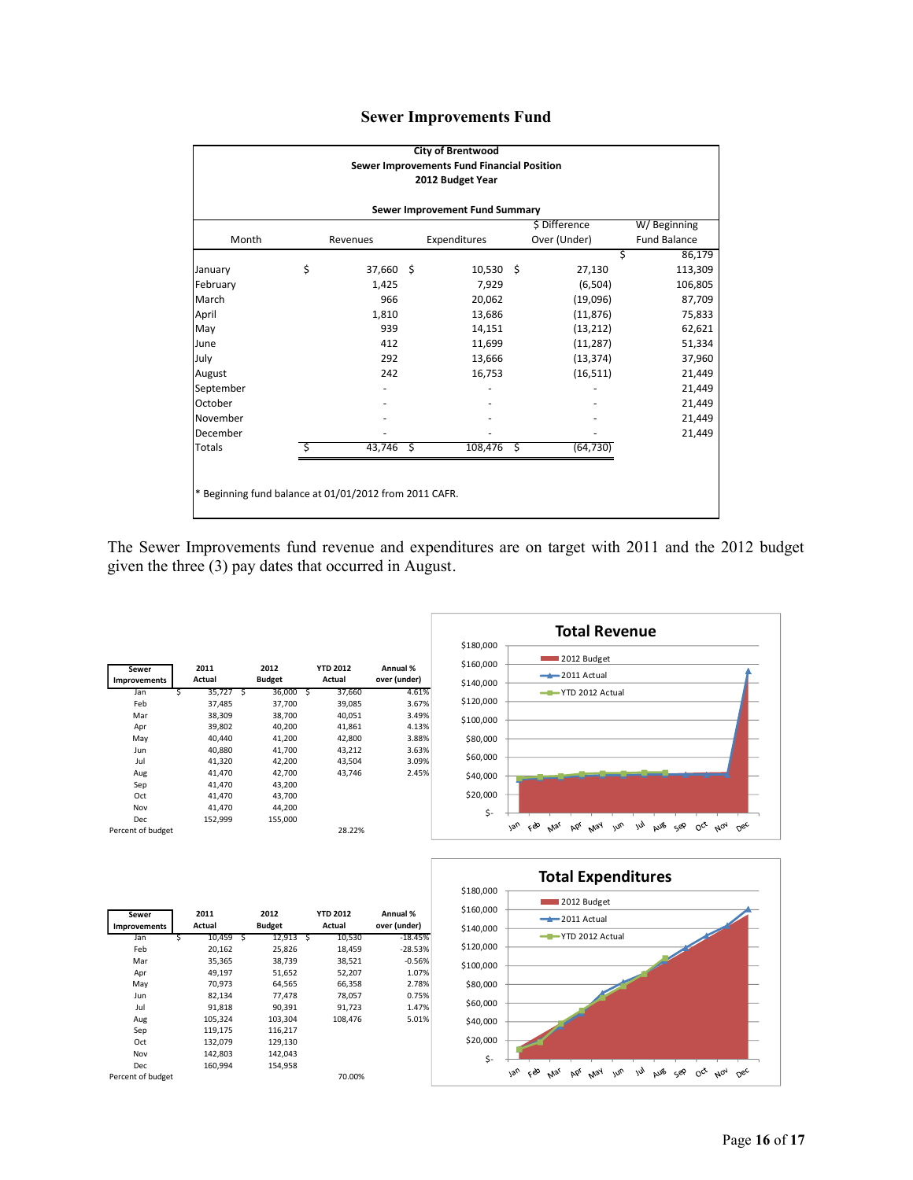|  | <b>Sewer Improvements Fund</b> |  |
|--|--------------------------------|--|
|--|--------------------------------|--|

| <b>City of Brentwood</b>                               |                                            |           |      |              |  |              |                     |  |  |  |  |
|--------------------------------------------------------|--------------------------------------------|-----------|------|--------------|--|--------------|---------------------|--|--|--|--|
|                                                        | Sewer Improvements Fund Financial Position |           |      |              |  |              |                     |  |  |  |  |
| 2012 Budget Year                                       |                                            |           |      |              |  |              |                     |  |  |  |  |
| Sewer Improvement Fund Summary                         |                                            |           |      |              |  |              |                     |  |  |  |  |
| \$ Difference<br>W/Beginning                           |                                            |           |      |              |  |              |                     |  |  |  |  |
| Month                                                  |                                            | Revenues  |      | Expenditures |  | Over (Under) | <b>Fund Balance</b> |  |  |  |  |
|                                                        |                                            |           |      |              |  | Ś            | 86,179              |  |  |  |  |
| January                                                | \$                                         | 37,660 \$ |      | $10,530$ \$  |  | 27,130       | 113,309             |  |  |  |  |
| February                                               |                                            | 1,425     |      | 7,929        |  | (6,504)      | 106,805             |  |  |  |  |
| March                                                  |                                            | 966       |      | 20,062       |  | (19,096)     | 87,709              |  |  |  |  |
| April                                                  |                                            | 1,810     |      | 13,686       |  | (11, 876)    | 75,833              |  |  |  |  |
| May                                                    |                                            | 939       |      | 14,151       |  | (13, 212)    | 62,621              |  |  |  |  |
| June                                                   |                                            | 412       |      | 11,699       |  | (11, 287)    | 51,334              |  |  |  |  |
| July                                                   |                                            | 292       |      | 13,666       |  | (13, 374)    | 37,960              |  |  |  |  |
| August                                                 |                                            | 242       |      | 16,753       |  | (16, 511)    | 21,449              |  |  |  |  |
| September                                              |                                            |           |      |              |  |              | 21,449              |  |  |  |  |
| October                                                |                                            |           |      |              |  |              | 21,449              |  |  |  |  |
| November                                               |                                            |           |      |              |  |              | 21,449              |  |  |  |  |
| December                                               |                                            |           |      |              |  |              | 21,449              |  |  |  |  |
| Totals                                                 |                                            | 43,746    | - \$ | $108,476$ \$ |  | (64, 730)    |                     |  |  |  |  |
|                                                        |                                            |           |      |              |  |              |                     |  |  |  |  |
|                                                        |                                            |           |      |              |  |              |                     |  |  |  |  |
| * Beginning fund balance at 01/01/2012 from 2011 CAFR. |                                            |           |      |              |  |              |                     |  |  |  |  |
|                                                        |                                            |           |      |              |  |              |                     |  |  |  |  |

The Sewer Improvements fund revenue and expenditures are on target with 2011 and the 2012 budget given the three (3) pay dates that occurred in August.

| Sewer<br>Improvements |   | 2011<br>Actual |   | 2012<br><b>Budget</b> |    | <b>YTD 2012</b><br>Actual | Annual %<br>over (under) |
|-----------------------|---|----------------|---|-----------------------|----|---------------------------|--------------------------|
| Jan                   | Ś | 35,727         | S | 36,000                | ్వ | 37,660                    | 4.61%                    |
| Feb                   |   | 37,485         |   | 37,700                |    | 39,085                    | 3.67%                    |
| Mar                   |   | 38,309         |   | 38,700                |    | 40.051                    | 3.49%                    |
| Apr                   |   | 39,802         |   | 40,200                |    | 41,861                    | 4.13%                    |
| May                   |   | 40.440         |   | 41,200                |    | 42,800                    | 3.88%                    |
| Jun                   |   | 40.880         |   | 41,700                |    | 43,212                    | 3.63%                    |
| Jul                   |   | 41,320         |   | 42,200                |    | 43,504                    | 3.09%                    |
| Aug                   |   | 41,470         |   | 42,700                |    | 43.746                    | 2.45%                    |
| Sep                   |   | 41,470         |   | 43,200                |    |                           |                          |
| Oct                   |   | 41,470         |   | 43,700                |    |                           |                          |
| Nov                   |   | 41,470         |   | 44,200                |    |                           |                          |
| Dec                   |   | 152,999        |   | 155,000               |    |                           |                          |
| Percent of budget     |   |                |   |                       |    | 28.22%                    |                          |





| Sewer<br><b>Improvements</b> |   | 2011<br>Actual |   | 2012<br><b>Budget</b> |     | <b>YTD 2012</b><br>Actual | Annual %<br>over (under) |
|------------------------------|---|----------------|---|-----------------------|-----|---------------------------|--------------------------|
| Jan                          | Ś | 10.459         | Ś | 12,913                | - S | 10,530                    | $-18.45%$                |
| Feb                          |   | 20.162         |   | 25,826                |     | 18,459                    | $-28.53%$                |
| Mar                          |   | 35,365         |   | 38,739                |     | 38,521                    | $-0.56%$                 |
| Apr                          |   | 49,197         |   | 51,652                |     | 52,207                    | 1.07%                    |
| May                          |   | 70,973         |   | 64,565                |     | 66,358                    | 2.78%                    |
| Jun                          |   | 82,134         |   | 77,478                |     | 78,057                    | 0.75%                    |
| Jul                          |   | 91.818         |   | 90.391                |     | 91.723                    | 1.47%                    |
| Aug                          |   | 105,324        |   | 103,304               |     | 108.476                   | 5.01%                    |
| Sep                          |   | 119,175        |   | 116,217               |     |                           |                          |
| Oct                          |   | 132.079        |   | 129,130               |     |                           |                          |
| Nov                          |   | 142.803        |   | 142,043               |     |                           |                          |
| Dec                          |   | 160.994        |   | 154,958               |     |                           |                          |
| Percent of budget            |   |                |   |                       |     | 70.00%                    |                          |